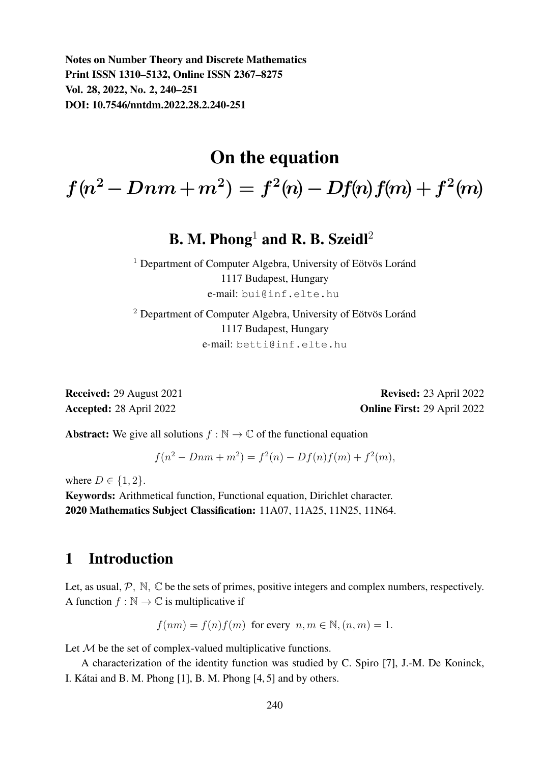Notes on Number Theory and Discrete Mathematics Print ISSN 1310–5132, Online ISSN 2367–8275 Vol. 28, 2022, No. 2, 240–251 DOI: 10.7546/nntdm.2022.28.2.240-251

## On the equation

 $f(n^2-Dnm+m^2)=f^2(n)-Df(n)f(m)+f^2(m)$ 

# B. M. Phong<sup>1</sup> and R. B. Szeidl<sup>2</sup>

 $1$  Department of Computer Algebra, University of Eötvös Loránd 1117 Budapest, Hungary e-mail: bui@inf.elte.hu

 $2$  Department of Computer Algebra, University of Eötvös Loránd 1117 Budapest, Hungary e-mail: betti@inf.elte.hu

Received: 29 August 2021 Revised: 23 April 2022 Accepted: 28 April 2022 **Online First: 29 April 2022** 

**Abstract:** We give all solutions  $f : \mathbb{N} \to \mathbb{C}$  of the functional equation

$$
f(n2 - Dnm + m2) = f2(n) - Df(n)f(m) + f2(m),
$$

where  $D \in \{1, 2\}$ .

Keywords: Arithmetical function, Functional equation, Dirichlet character. 2020 Mathematics Subject Classification: 11A07, 11A25, 11N25, 11N64.

### 1 Introduction

Let, as usual,  $P$ ,  $\mathbb{N}$ ,  $\mathbb{C}$  be the sets of primes, positive integers and complex numbers, respectively. A function  $f : \mathbb{N} \to \mathbb{C}$  is multiplicative if

$$
f(nm) = f(n)f(m)
$$
 for every  $n, m \in \mathbb{N}, (n, m) = 1.$ 

Let  $M$  be the set of complex-valued multiplicative functions.

A characterization of the identity function was studied by C. Spiro [7], J.-M. De Koninck, I. Kátai and B. M. Phong  $[1]$ , B. M. Phong  $[4, 5]$  and by others.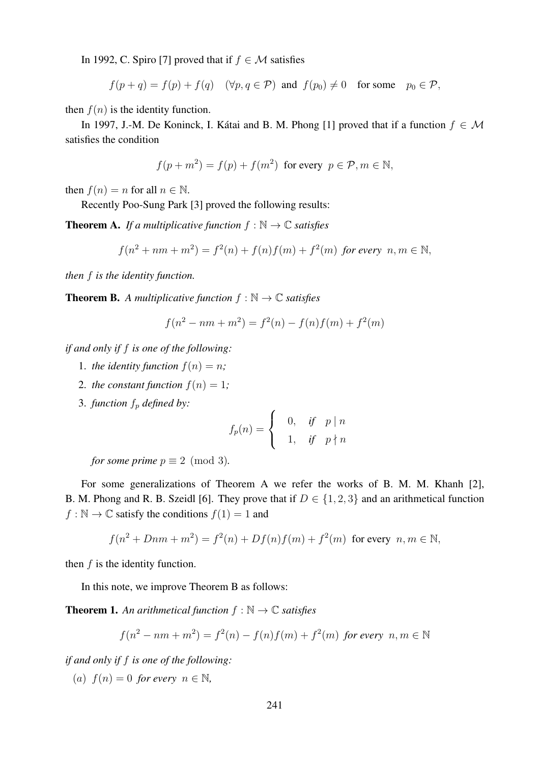In 1992, C. Spiro [7] proved that if  $f \in \mathcal{M}$  satisfies

 $f(p + q) = f(p) + f(q)$   $(\forall p, q \in \mathcal{P})$  and  $f(p_0) \neq 0$  for some  $p_0 \in \mathcal{P}$ ,

then  $f(n)$  is the identity function.

In 1997, J.-M. De Koninck, I. Kátai and B. M. Phong [1] proved that if a function  $f \in \mathcal{M}$ satisfies the condition

$$
f(p+m^2) = f(p) + f(m^2) \text{ for every } p \in \mathcal{P}, m \in \mathbb{N},
$$

then  $f(n) = n$  for all  $n \in \mathbb{N}$ .

Recently Poo-Sung Park [3] proved the following results:

**Theorem A.** *If a multiplicative function*  $f : \mathbb{N} \to \mathbb{C}$  *satisfies* 

$$
f(n^{2} + nm + m^{2}) = f^{2}(n) + f(n)f(m) + f^{2}(m)
$$
 for every  $n, m \in \mathbb{N}$ ,

*then* f *is the identity function.*

**Theorem B.** *A multiplicative function*  $f : \mathbb{N} \to \mathbb{C}$  *satisfies* 

$$
f(n^{2} - nm + m^{2}) = f^{2}(n) - f(n)f(m) + f^{2}(m)
$$

*if and only if* f *is one of the following:*

- 1. *the identity function*  $f(n) = n$ ;
- 2. *the constant function*  $f(n) = 1$ ;
- 3. *function*  $f_p$  *defined by:*

$$
f_p(n) = \begin{cases} 0, & \text{if } p \mid n \\ 1, & \text{if } p \nmid n \end{cases}
$$

*for some prime*  $p \equiv 2 \pmod{3}$ *.* 

For some generalizations of Theorem A we refer the works of B. M. M. Khanh [2], B. M. Phong and R. B. Szeidl [6]. They prove that if  $D \in \{1, 2, 3\}$  and an arithmetical function  $f : \mathbb{N} \to \mathbb{C}$  satisfy the conditions  $f(1) = 1$  and

$$
f(n^{2} + Dnm + m^{2}) = f^{2}(n) + Df(n)f(m) + f^{2}(m)
$$
 for every  $n, m \in \mathbb{N}$ ,

then  $f$  is the identity function.

In this note, we improve Theorem B as follows:

**Theorem 1.** An arithmetical function  $f : \mathbb{N} \to \mathbb{C}$  satisfies

$$
f(n^{2} - nm + m^{2}) = f^{2}(n) - f(n)f(m) + f^{2}(m) \text{ for every } n, m \in \mathbb{N}
$$

*if and only if* f *is one of the following:*

(a)  $f(n) = 0$  *for every*  $n \in \mathbb{N}$ ,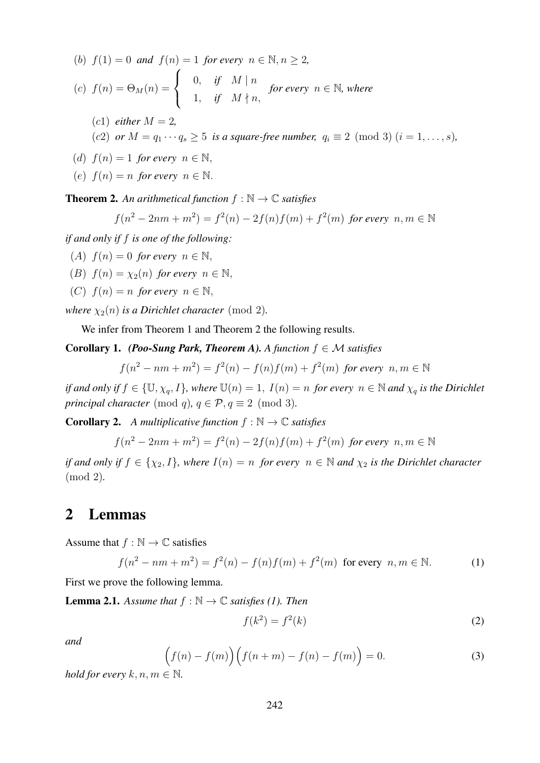\n- (b) 
$$
f(1) = 0
$$
 and  $f(n) = 1$  for every  $n \in \mathbb{N}, n \geq 2$ ,
\n- (c)  $f(n) = \Theta_M(n) = \begin{cases} 0, & \text{if } M \mid n \\ 1, & \text{if } M \nmid n, \end{cases}$  for every  $n \in \mathbb{N}$ , where
\n- (c1) either  $M = 2$ ,
\n- (c2) or  $M = q_1 \cdots q_s \geq 5$  is a square-free number,  $q_i \equiv 2 \pmod{3}$   $(i = 1, \ldots, s)$ ,
\n- (d)  $f(n) = 1$  for every  $n \in \mathbb{N}$ ,
\n

(e)  $f(n) = n$  *for every*  $n \in \mathbb{N}$ .

**Theorem 2.** An arithmetical function  $f : \mathbb{N} \to \mathbb{C}$  satisfies

$$
f(n^{2} - 2nm + m^{2}) = f^{2}(n) - 2f(n)f(m) + f^{2}(m)
$$
 for every  $n, m \in \mathbb{N}$ 

*if and only if* f *is one of the following:*

(A)  $f(n) = 0$  *for every*  $n \in \mathbb{N}$ ,

- (B)  $f(n) = \chi_2(n)$  *for every*  $n \in \mathbb{N}$ ,
- (C)  $f(n) = n$  *for every*  $n \in \mathbb{N}$ ,

*where*  $\chi_2(n)$  *is a Dirichlet character* (mod 2).

We infer from Theorem 1 and Theorem 2 the following results.

**Corollary 1.** *(Poo-Sung Park, Theorem A). A function*  $f \in \mathcal{M}$  *satisfies* 

$$
f(n^2 - nm + m^2) = f^2(n) - f(n)f(m) + f^2(m)
$$
 for every  $n, m \in \mathbb{N}$ 

*if and only if*  $f \in \{U, \chi_q, I\}$ *, where*  $U(n) = 1$ *,*  $I(n) = n$  *for every*  $n \in \mathbb{N}$  *and*  $\chi_q$  *is the Dirichlet principal character* (mod q),  $q \in \mathcal{P}, q \equiv 2 \pmod{3}$ .

**Corollary 2.** *A multiplicative function*  $f : \mathbb{N} \to \mathbb{C}$  *satisfies* 

$$
f(n^{2} - 2nm + m^{2}) = f^{2}(n) - 2f(n)f(m) + f^{2}(m)
$$
 for every  $n, m \in \mathbb{N}$ 

*if and only if*  $f \in \{\chi_2, I\}$ *, where*  $I(n) = n$  *for every*  $n \in \mathbb{N}$  *and*  $\chi_2$  *is the Dirichlet character* (mod 2)*.*

## 2 Lemmas

Assume that  $f : \mathbb{N} \to \mathbb{C}$  satisfies

$$
f(n^{2} - nm + m^{2}) = f^{2}(n) - f(n)f(m) + f^{2}(m)
$$
 for every  $n, m \in \mathbb{N}$ . (1)

First we prove the following lemma.

**Lemma 2.1.** *Assume that*  $f : \mathbb{N} \to \mathbb{C}$  *satisfies* (1). *Then* 

$$
f(k^2) = f^2(k) \tag{2}
$$

*and*

$$
\left(f(n) - f(m)\right)\left(f(n+m) - f(n) - f(m)\right) = 0.
$$
\n(3)

*hold for every*  $k, n, m \in \mathbb{N}$ .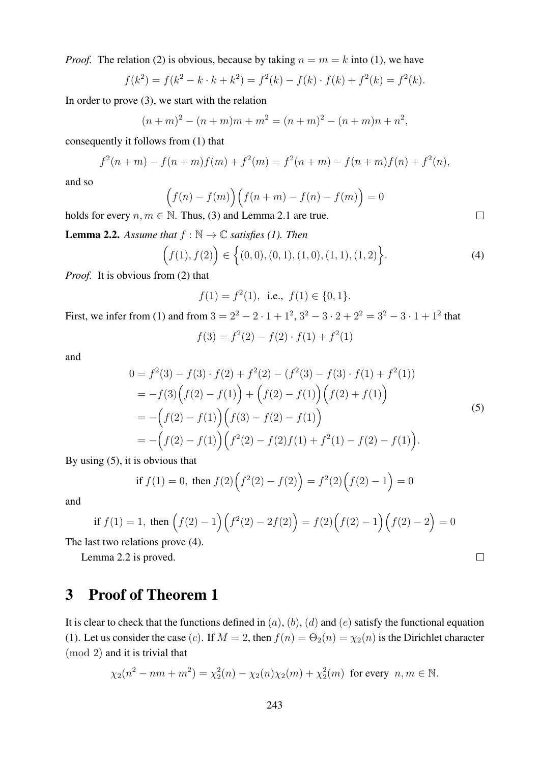*Proof.* The relation (2) is obvious, because by taking  $n = m = k$  into (1), we have

$$
f(k^{2}) = f(k^{2} - k \cdot k + k^{2}) = f^{2}(k) - f(k) \cdot f(k) + f^{2}(k) = f^{2}(k).
$$

In order to prove (3), we start with the relation

$$
(n+m)2 - (n+m)m + m2 = (n+m)2 - (n+m)n + n2,
$$

consequently it follows from (1) that

$$
f^{2}(n+m) - f(n+m)f(m) + f^{2}(m) = f^{2}(n+m) - f(n+m)f(n) + f^{2}(n),
$$

and so

$$
(f(n) - f(m)) (f(n+m) - f(n) - f(m)) = 0
$$

holds for every  $n, m \in \mathbb{N}$ . Thus, (3) and Lemma 2.1 are true.

**Lemma 2.2.** *Assume that*  $f : \mathbb{N} \to \mathbb{C}$  *satisfies* (1). *Then* 

$$
(f(1), f(2)) \in \left\{ (0,0), (0,1), (1,0), (1,1), (1,2) \right\}.
$$
 (4)

*Proof.* It is obvious from (2) that

$$
f(1) = f2(1)
$$
, i.e.,  $f(1) \in \{0, 1\}$ .

First, we infer from (1) and from  $3 = 2^2 - 2 \cdot 1 + 1^2$ ,  $3^2 - 3 \cdot 2 + 2^2 = 3^2 - 3 \cdot 1 + 1^2$  that

$$
f(3) = f^{2}(2) - f(2) \cdot f(1) + f^{2}(1)
$$

and

$$
0 = f^{2}(3) - f(3) \cdot f(2) + f^{2}(2) - (f^{2}(3) - f(3) \cdot f(1) + f^{2}(1))
$$
  
= 
$$
-f(3)\Big(f(2) - f(1)\Big) + \Big(f(2) - f(1)\Big)\Big(f(2) + f(1)\Big)
$$
  
= 
$$
- \Big(f(2) - f(1)\Big)\Big(f(3) - f(2) - f(1)\Big)
$$
  
= 
$$
- \Big(f(2) - f(1)\Big)\Big(f^{2}(2) - f(2)f(1) + f^{2}(1) - f(2) - f(1)\Big).
$$
 (5)

By using (5), it is obvious that

if 
$$
f(1) = 0
$$
, then  $f(2) (f^{2}(2) - f(2)) = f^{2}(2) (f(2) - 1) = 0$ 

and

if 
$$
f(1) = 1
$$
, then  $(f(2) - 1)(f^{2}(2) - 2f(2)) = f(2)(f(2) - 1)(f(2) - 2) = 0$ 

The last two relations prove (4).

Lemma 2.2 is proved.

## 3 Proof of Theorem 1

It is clear to check that the functions defined in  $(a)$ ,  $(b)$ ,  $(d)$  and  $(e)$  satisfy the functional equation (1). Let us consider the case (c). If  $M = 2$ , then  $f(n) = \Theta_2(n) = \chi_2(n)$  is the Dirichlet character (mod 2) and it is trivial that

$$
\chi_2(n^2 - nm + m^2) = \chi_2^2(n) - \chi_2(n)\chi_2(m) + \chi_2^2(m)
$$
 for every  $n, m \in \mathbb{N}$ .

 $\Box$ 

 $\Box$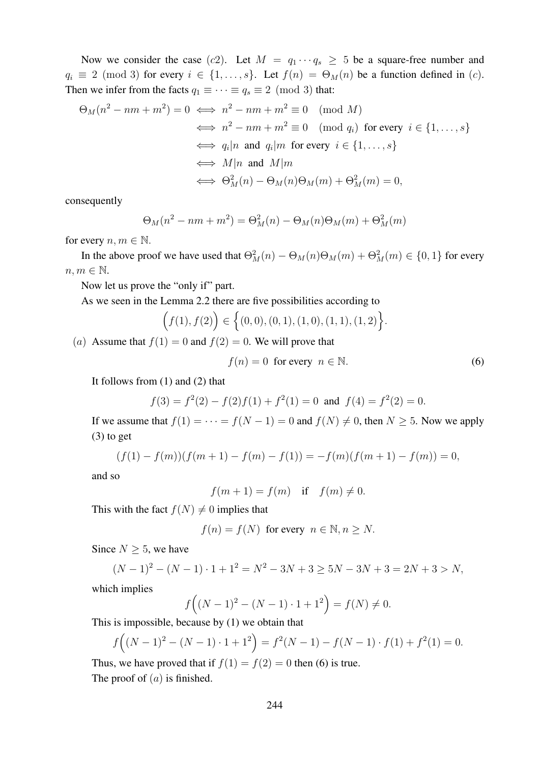Now we consider the case (c2). Let  $M = q_1 \cdots q_s \geq 5$  be a square-free number and  $q_i \equiv 2 \pmod{3}$  for every  $i \in \{1, \ldots, s\}$ . Let  $f(n) = \Theta_M(n)$  be a function defined in (c). Then we infer from the facts  $q_1 \equiv \cdots \equiv q_s \equiv 2 \pmod{3}$  that:

$$
\Theta_M(n^2 - nm + m^2) = 0 \iff n^2 - nm + m^2 \equiv 0 \pmod{M}
$$
  
\n
$$
\iff n^2 - nm + m^2 \equiv 0 \pmod{q_i} \text{ for every } i \in \{1, ..., s\}
$$
  
\n
$$
\iff q_i | n \text{ and } q_i | m \text{ for every } i \in \{1, ..., s\}
$$
  
\n
$$
\iff M | n \text{ and } M | m
$$
  
\n
$$
\iff \Theta_M^2(n) - \Theta_M(n)\Theta_M(m) + \Theta_M^2(m) = 0,
$$

consequently

$$
\Theta_M(n^2 - nm + m^2) = \Theta_M^2(n) - \Theta_M(n)\Theta_M(m) + \Theta_M^2(m)
$$

for every  $n, m \in \mathbb{N}$ .

In the above proof we have used that  $\Theta_M^2(n) - \Theta_M(n)\Theta_M(m) + \Theta_M^2(m) \in \{0,1\}$  for every  $n, m \in \mathbb{N}$ .

Now let us prove the "only if" part.

As we seen in the Lemma 2.2 there are five possibilities according to

$$
(f(1), f(2)) \in \left\{ (0,0), (0,1), (1,0), (1,1), (1,2) \right\}.
$$

(a) Assume that  $f(1) = 0$  and  $f(2) = 0$ . We will prove that

$$
f(n) = 0 \text{ for every } n \in \mathbb{N}.
$$
 (6)

It follows from (1) and (2) that

$$
f(3) = f2(2) - f(2)f(1) + f2(1) = 0
$$
 and  $f(4) = f2(2) = 0$ .

If we assume that  $f(1) = \cdots = f(N - 1) = 0$  and  $f(N) \neq 0$ , then  $N \geq 5$ . Now we apply (3) to get

$$
(f(1) - f(m))(f(m+1) - f(m) - f(1)) = -f(m)(f(m+1) - f(m)) = 0,
$$

and so

$$
f(m+1) = f(m) \quad \text{if} \quad f(m) \neq 0.
$$

This with the fact  $f(N) \neq 0$  implies that

$$
f(n) = f(N) \text{ for every } n \in \mathbb{N}, n \ge N.
$$

Since  $N \geq 5$ , we have

$$
(N-1)^2 - (N-1) \cdot 1 + 1^2 = N^2 - 3N + 3 \ge 5N - 3N + 3 = 2N + 3 > N,
$$
  
which implies

$$
f((N-1)^{2} - (N-1) \cdot 1 + 1^{2}) = f(N) \neq 0.
$$

This is impossible, because by (1) we obtain that

$$
f((N-1)^{2} - (N-1) \cdot 1 + 1^{2}) = f^{2}(N-1) - f(N-1) \cdot f(1) + f^{2}(1) = 0.
$$

Thus, we have proved that if  $f(1) = f(2) = 0$  then (6) is true. The proof of  $(a)$  is finished.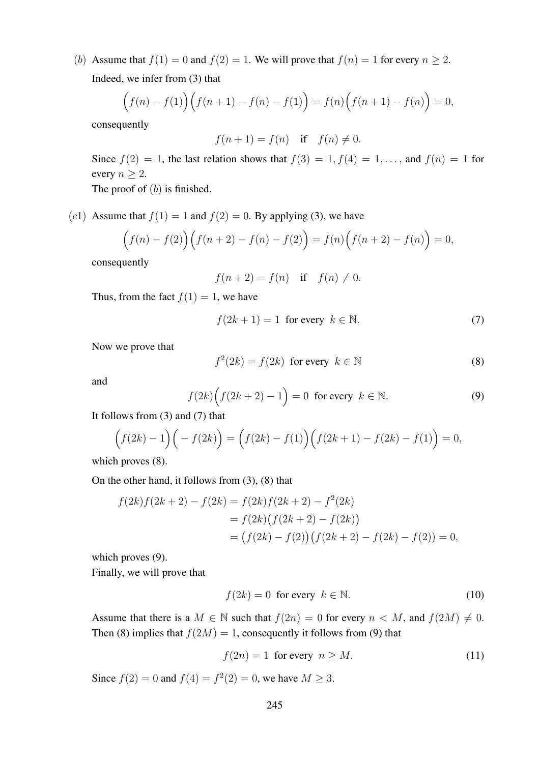(b) Assume that  $f(1) = 0$  and  $f(2) = 1$ . We will prove that  $f(n) = 1$  for every  $n \ge 2$ . Indeed, we infer from (3) that

$$
(f(n) - f(1)) (f(n+1) - f(n) - f(1)) = f(n) (f(n+1) - f(n)) = 0,
$$

consequently

$$
f(n+1) = f(n) \quad \text{if} \quad f(n) \neq 0.
$$

Since  $f(2) = 1$ , the last relation shows that  $f(3) = 1, f(4) = 1, \ldots$ , and  $f(n) = 1$  for every  $n \geq 2$ .

The proof of  $(b)$  is finished.

(c1) Assume that  $f(1) = 1$  and  $f(2) = 0$ . By applying (3), we have

$$
(f(n) - f(2)) (f(n+2) - f(n) - f(2)) = f(n) (f(n+2) - f(n)) = 0,
$$

consequently

$$
f(n+2) = f(n) \quad \text{if} \quad f(n) \neq 0.
$$

Thus, from the fact  $f(1) = 1$ , we have

$$
f(2k+1) = 1 \text{ for every } k \in \mathbb{N}.
$$
 (7)

Now we prove that

$$
f^{2}(2k) = f(2k) \text{ for every } k \in \mathbb{N}
$$
 (8)

and

$$
f(2k)\Big(f(2k+2)-1\Big)=0 \text{ for every } k \in \mathbb{N}.
$$
 (9)

It follows from (3) and (7) that

$$
(f(2k) - 1)(-f(2k)) = (f(2k) - f(1))(f(2k+1) - f(2k) - f(1)) = 0,
$$

which proves  $(8)$ .

On the other hand, it follows from (3), (8) that

$$
f(2k) f(2k+2) - f(2k) = f(2k) f(2k+2) - f^{2}(2k)
$$
  
=  $f(2k) (f(2k+2) - f(2k))$   
=  $(f(2k) - f(2)) (f(2k+2) - f(2k) - f(2)) = 0,$ 

which proves  $(9)$ .

Finally, we will prove that

$$
f(2k) = 0 \text{ for every } k \in \mathbb{N}.
$$
 (10)

Assume that there is a  $M \in \mathbb{N}$  such that  $f(2n) = 0$  for every  $n \lt M$ , and  $f(2M) \neq 0$ . Then (8) implies that  $f(2M) = 1$ , consequently it follows from (9) that

$$
f(2n) = 1 \text{ for every } n \ge M. \tag{11}
$$

Since  $f(2) = 0$  and  $f(4) = f^2(2) = 0$ , we have  $M \ge 3$ .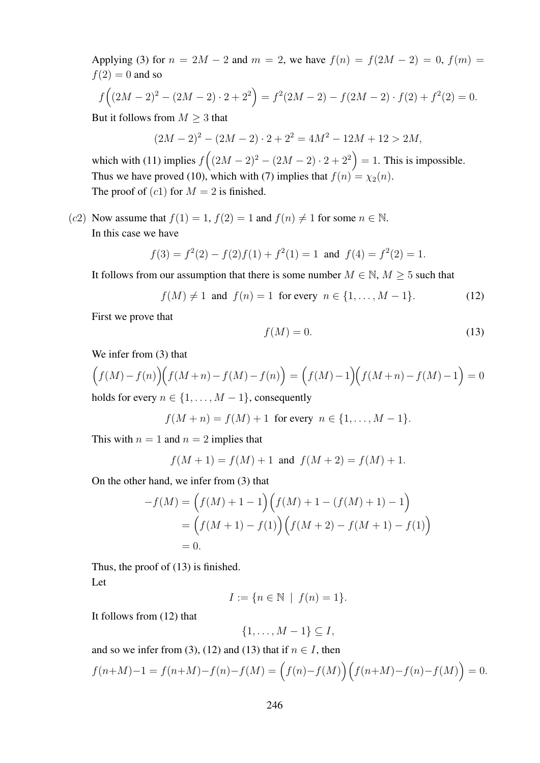Applying (3) for  $n = 2M - 2$  and  $m = 2$ , we have  $f(n) = f(2M - 2) = 0$ ,  $f(m) =$  $f(2) = 0$  and so

$$
f((2M-2)^2 - (2M-2) \cdot 2 + 2^2) = f^2(2M-2) - f(2M-2) \cdot f(2) + f^2(2) = 0.
$$

But it follows from  $M \geq 3$  that

$$
(2M-2)^2 - (2M-2) \cdot 2 + 2^2 = 4M^2 - 12M + 12 > 2M,
$$

which with (11) implies  $f((2M-2)^2 - (2M-2) \cdot 2 + 2^2) = 1$ . This is impossible. Thus we have proved (10), which with (7) implies that  $f(n) = \chi_2(n)$ . The proof of  $(c1)$  for  $M = 2$  is finished.

(c2) Now assume that  $f(1) = 1$ ,  $f(2) = 1$  and  $f(n) \neq 1$  for some  $n \in \mathbb{N}$ . In this case we have

$$
f(3) = f2(2) - f(2)f(1) + f2(1) = 1
$$
 and  $f(4) = f2(2) = 1$ .

It follows from our assumption that there is some number  $M \in \mathbb{N}$ ,  $M \geq 5$  such that

$$
f(M) \neq 1
$$
 and  $f(n) = 1$  for every  $n \in \{1, ..., M - 1\}$ . (12)

First we prove that

$$
f(M) = 0.\t(13)
$$

We infer from (3) that

$$
(f(M) - f(n)) (f(M+n) - f(M) - f(n)) = (f(M) - 1)(f(M+n) - f(M) - 1) = 0
$$
  
holds for every  $n \in \{1, M-1\}$  consequently

holds for every  $n \in \{1, \ldots, M-1\}$ , consequently

$$
f(M + n) = f(M) + 1 \text{ for every } n \in \{1, ..., M - 1\}.
$$

This with  $n = 1$  and  $n = 2$  implies that

$$
f(M + 1) = f(M) + 1
$$
 and  $f(M + 2) = f(M) + 1$ .

On the other hand, we infer from (3) that

$$
-f(M) = (f(M) + 1 - 1)(f(M) + 1 - (f(M) + 1) - 1)
$$
  
=  $(f(M + 1) - f(1))(f(M + 2) - f(M + 1) - f(1))$   
= 0.

Thus, the proof of (13) is finished. Let

$$
I := \{ n \in \mathbb{N} \mid f(n) = 1 \}.
$$

It follows from (12) that

$$
\{1,\ldots,M-1\} \subseteq I,
$$

and so we infer from (3), (12) and (13) that if  $n \in I$ , then

$$
f(n+M)-1 = f(n+M)-f(n)-f(M) = (f(n)-f(M)) (f(n+M)-f(n)-f(M)) = 0.
$$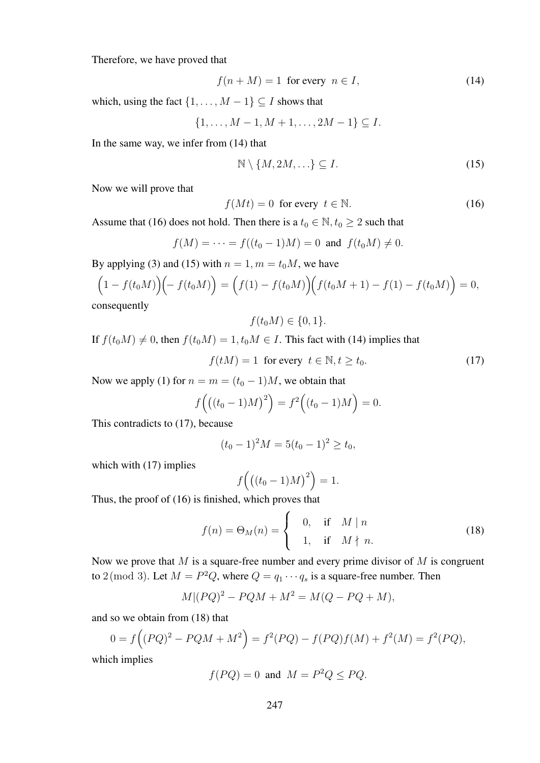Therefore, we have proved that

$$
f(n+M) = 1 \text{ for every } n \in I,
$$
\n(14)

which, using the fact  $\{1, \ldots, M-1\} \subseteq I$  shows that

$$
\{1, \ldots, M-1, M+1, \ldots, 2M-1\} \subseteq I.
$$

In the same way, we infer from (14) that

$$
\mathbb{N} \setminus \{M, 2M, \ldots\} \subseteq I. \tag{15}
$$

Now we will prove that

$$
f(Mt) = 0 \text{ for every } t \in \mathbb{N}.
$$
 (16)

Assume that (16) does not hold. Then there is a  $t_0 \in \mathbb{N}, t_0 \geq 2$  such that

$$
f(M) = \cdots = f((t_0 - 1)M) = 0
$$
 and  $f(t_0M) \neq 0$ .

By applying (3) and (15) with  $n = 1, m = t_0M$ , we have

$$
(1 - f(t_0M))(-f(t_0M)) = (f(1) - f(t_0M)) (f(t_0M + 1) - f(1) - f(t_0M)) = 0,
$$
  
consequently

quently

$$
f(t_0M)\in\{0,1\}.
$$

If  $f(t_0M) \neq 0$ , then  $f(t_0M) = 1$ ,  $t_0M \in I$ . This fact with (14) implies that

$$
f(tM) = 1 \text{ for every } t \in \mathbb{N}, t \ge t_0. \tag{17}
$$

Now we apply (1) for  $n = m = (t_0 - 1)M$ , we obtain that

$$
f((t_0 - 1)M)^2) = f^2((t_0 - 1)M) = 0.
$$

This contradicts to (17), because

$$
(t_0 - 1)^2 M = 5(t_0 - 1)^2 \ge t_0,
$$

which with  $(17)$  implies

$$
f\left(\left((t_0-1)M\right)^2\right) = 1.
$$

Thus, the proof of (16) is finished, which proves that

$$
f(n) = \Theta_M(n) = \begin{cases} 0, & \text{if } M \mid n \\ 1, & \text{if } M \nmid n. \end{cases}
$$
 (18)

Now we prove that  $M$  is a square-free number and every prime divisor of  $M$  is congruent to 2 (mod 3). Let  $M = P^2Q$ , where  $Q = q_1 \cdots q_s$  is a square-free number. Then

$$
M|(PQ)^2 - PQM + M^2 = M(Q - PQ + M),
$$

and so we obtain from (18) that

$$
0 = f((PQ)^{2} - PQM + M^{2}) = f^{2}(PQ) - f(PQ)f(M) + f^{2}(M) = f^{2}(PQ),
$$

which implies

$$
f(PQ) = 0
$$
 and  $M = P^2Q \le PQ$ .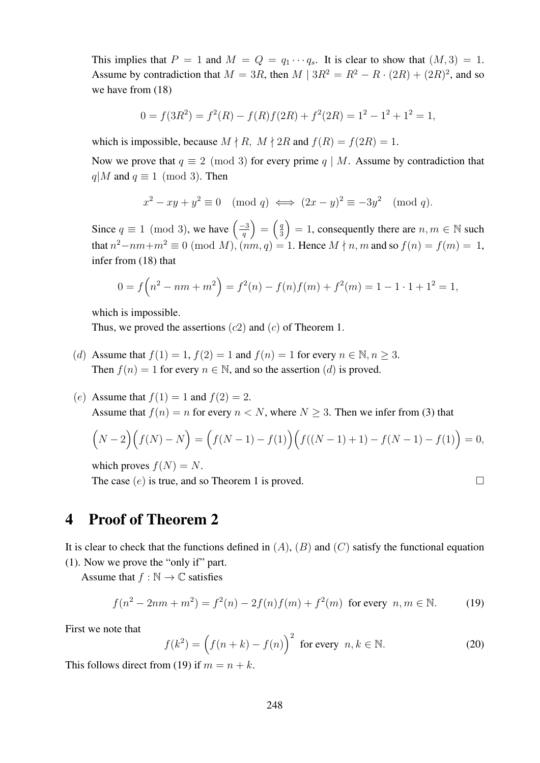This implies that  $P = 1$  and  $M = Q = q_1 \cdots q_s$ . It is clear to show that  $(M, 3) = 1$ . Assume by contradiction that  $M = 3R$ , then  $M | 3R^2 = R^2 - R \cdot (2R) + (2R)^2$ , and so we have from (18)

$$
0 = f(3R2) = f2(R) - f(R)f(2R) + f2(2R) = 12 - 12 + 12 = 1,
$$

which is impossible, because  $M \nmid R$ ,  $M \nmid 2R$  and  $f(R) = f(2R) = 1$ .

Now we prove that  $q \equiv 2 \pmod{3}$  for every prime  $q \mid M$ . Assume by contradiction that  $q|M$  and  $q \equiv 1 \pmod{3}$ . Then

$$
x^{2} - xy + y^{2} \equiv 0 \pmod{q} \iff (2x - y)^{2} \equiv -3y^{2} \pmod{q}.
$$

Since  $q \equiv 1 \pmod{3}$ , we have  $\left(\frac{-3}{q}\right)$  $\left(\frac{-3}{q}\right) = \left(\frac{q}{3}\right)$  $\left(\frac{q}{3}\right) = 1$ , consequently there are  $n, m \in \mathbb{N}$  such that  $n^2-nm+m^2\equiv 0\ ({\rm mod}\ M)$ ,  $(nm,q)=1$ . Hence  $M\nmid n,m$  and so  $f(n)=f(m)=1$ , infer from (18) that

$$
0 = f\left(n^2 - nm + m^2\right) = f^2(n) - f(n)f(m) + f^2(m) = 1 - 1 \cdot 1 + 1^2 = 1,
$$

which is impossible.

Thus, we proved the assertions  $(c2)$  and  $(c)$  of Theorem 1.

- (d) Assume that  $f(1) = 1$ ,  $f(2) = 1$  and  $f(n) = 1$  for every  $n \in \mathbb{N}, n \geq 3$ . Then  $f(n) = 1$  for every  $n \in \mathbb{N}$ , and so the assertion  $(d)$  is proved.
- (e) Assume that  $f(1) = 1$  and  $f(2) = 2$ . Assume that  $f(n) = n$  for every  $n < N$ , where  $N \geq 3$ . Then we infer from (3) that

$$
(N-2)(f(N) - N) = (f(N-1) - f(1))(f((N-1) + 1) - f(N-1) - f(1)) = 0,
$$

which proves  $f(N) = N$ .

The case  $(e)$  is true, and so Theorem 1 is proved.

$$
\Box
$$

### 4 Proof of Theorem 2

It is clear to check that the functions defined in  $(A)$ ,  $(B)$  and  $(C)$  satisfy the functional equation (1). Now we prove the "only if" part.

Assume that  $f : \mathbb{N} \to \mathbb{C}$  satisfies

$$
f(n^{2} - 2nm + m^{2}) = f^{2}(n) - 2f(n)f(m) + f^{2}(m)
$$
 for every  $n, m \in \mathbb{N}$ . (19)

First we note that

$$
f(k^{2}) = (f(n+k) - f(n))^{2} \text{ for every } n, k \in \mathbb{N}.
$$
 (20)

This follows direct from (19) if  $m = n + k$ .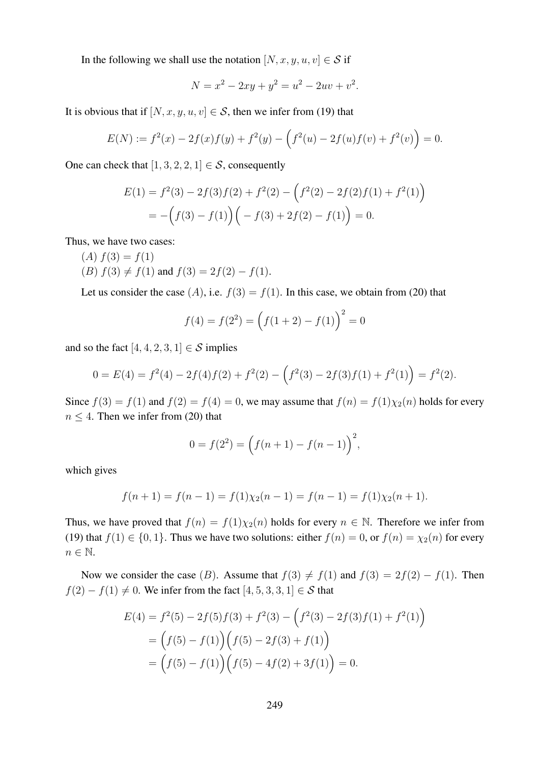In the following we shall use the notation  $[N, x, y, u, v] \in S$  if

$$
N = x^2 - 2xy + y^2 = u^2 - 2uv + v^2.
$$

It is obvious that if  $[N, x, y, u, v] \in S$ , then we infer from (19) that

$$
E(N) := f^{2}(x) - 2f(x)f(y) + f^{2}(y) - (f^{2}(u) - 2f(u)f(v) + f^{2}(v)) = 0.
$$

One can check that  $[1, 3, 2, 2, 1] \in S$ , consequently

$$
E(1) = f2(3) - 2f(3)f(2) + f2(2) - (f2(2) - 2f(2)f(1) + f2(1))
$$
  
= -(f(3) - f(1))(-f(3) + 2f(2) - f(1)) = 0.

Thus, we have two cases:

- $(A) f(3) = f(1)$
- (B)  $f(3) \neq f(1)$  and  $f(3) = 2f(2) f(1)$ .

Let us consider the case  $(A)$ , i.e.  $f(3) = f(1)$ . In this case, we obtain from (20) that

$$
f(4) = f(22) = (f(1 + 2) - f(1))^{2} = 0
$$

and so the fact  $[4, 4, 2, 3, 1] \in \mathcal{S}$  implies

$$
0 = E(4) = f2(4) - 2f(4)f(2) + f2(2) - (f2(3) - 2f(3)f(1) + f2(1)) = f2(2).
$$

Since  $f(3) = f(1)$  and  $f(2) = f(4) = 0$ , we may assume that  $f(n) = f(1)\chi_2(n)$  holds for every  $n \leq 4$ . Then we infer from (20) that

$$
0 = f(22) = (f(n + 1) - f(n - 1))^{2},
$$

which gives

$$
f(n + 1) = f(n - 1) = f(1)\chi_2(n - 1) = f(n - 1) = f(1)\chi_2(n + 1).
$$

Thus, we have proved that  $f(n) = f(1)\chi_2(n)$  holds for every  $n \in \mathbb{N}$ . Therefore we infer from (19) that  $f(1) \in \{0, 1\}$ . Thus we have two solutions: either  $f(n) = 0$ , or  $f(n) = \chi_2(n)$  for every  $n \in \mathbb{N}$ .

Now we consider the case (B). Assume that  $f(3) \neq f(1)$  and  $f(3) = 2f(2) - f(1)$ . Then  $f(2) - f(1) \neq 0$ . We infer from the fact  $[4, 5, 3, 3, 1] \in S$  that

$$
E(4) = f2(5) - 2f(5)f(3) + f2(3) - (f2(3) - 2f(3)f(1) + f2(1))
$$
  
=  $(f(5) - f(1))(f(5) - 2f(3) + f(1))$   
=  $(f(5) - f(1))(f(5) - 4f(2) + 3f(1)) = 0.$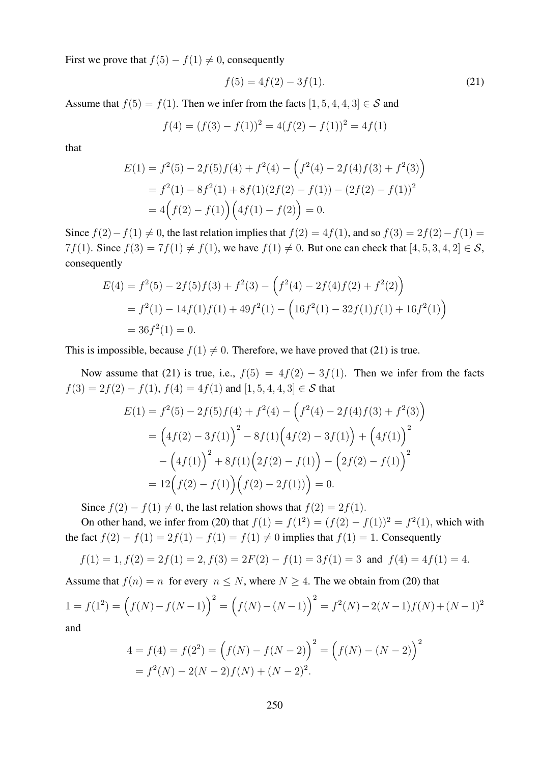First we prove that  $f(5) - f(1) \neq 0$ , consequently

$$
f(5) = 4f(2) - 3f(1). \tag{21}
$$

Assume that  $f(5) = f(1)$ . Then we infer from the facts  $[1, 5, 4, 4, 3] \in S$  and

$$
f(4) = (f(3) - f(1))^2 = 4(f(2) - f(1))^2 = 4f(1)
$$

that

$$
E(1) = f2(5) - 2f(5)f(4) + f2(4) - (f2(4) - 2f(4)f(3) + f2(3))
$$
  
= f<sup>2</sup>(1) - 8f<sup>2</sup>(1) + 8f(1)(2f(2) - f(1)) - (2f(2) - f(1))<sup>2</sup>  
= 4(f(2) - f(1)) (4f(1) - f(2)) = 0.

Since  $f(2) - f(1) \neq 0$ , the last relation implies that  $f(2) = 4f(1)$ , and so  $f(3) = 2f(2) - f(1) =$ 7f(1). Since  $f(3) = 7f(1) \neq f(1)$ , we have  $f(1) \neq 0$ . But one can check that  $[4, 5, 3, 4, 2] \in S$ , consequently

$$
E(4) = f2(5) - 2f(5)f(3) + f2(3) - (f2(4) - 2f(4)f(2) + f2(2))
$$
  
= f<sup>2</sup>(1) - 14f(1)f(1) + 49f<sup>2</sup>(1) - (16f<sup>2</sup>(1) - 32f(1)f(1) + 16f<sup>2</sup>(1))  
= 36f<sup>2</sup>(1) = 0.

This is impossible, because  $f(1) \neq 0$ . Therefore, we have proved that (21) is true.

Now assume that (21) is true, i.e.,  $f(5) = 4f(2) - 3f(1)$ . Then we infer from the facts  $f(3) = 2f(2) - f(1)$ ,  $f(4) = 4f(1)$  and  $[1, 5, 4, 4, 3] \in S$  that

$$
E(1) = f^{2}(5) - 2f(5)f(4) + f^{2}(4) - (f^{2}(4) - 2f(4)f(3) + f^{2}(3))
$$
  
=  $(4f(2) - 3f(1))^{2} - 8f(1)(4f(2) - 3f(1)) + (4f(1))^{2}$   
 $- (4f(1))^{2} + 8f(1)(2f(2) - f(1)) - (2f(2) - f(1))^{2}$   
=  $12(f(2) - f(1))((f(2) - 2f(1))) = 0.$ 

Since  $f(2) - f(1) \neq 0$ , the last relation shows that  $f(2) = 2f(1)$ .

On other hand, we infer from (20) that  $f(1) = f(1^2) = (f(2) - f(1))^2 = f^2(1)$ , which with the fact  $f(2) - f(1) = 2f(1) - f(1) = f(1) \neq 0$  implies that  $f(1) = 1$ . Consequently

$$
f(1) = 1
$$
,  $f(2) = 2f(1) = 2$ ,  $f(3) = 2F(2) - f(1) = 3f(1) = 3$  and  $f(4) = 4f(1) = 4$ .

Assume that  $f(n) = n$  for every  $n \leq N$ , where  $N \geq 4$ . The we obtain from (20) that

$$
1 = f(12) = (f(N) - f(N-1))2 = (f(N) - (N-1))2 = f2(N) - 2(N-1)f(N) + (N-1)2
$$
  
and

and

$$
4 = f(4) = f(22) = (f(N) - f(N - 2))^{2} = (f(N) - (N - 2))^{2}
$$

$$
= f2(N) - 2(N - 2)f(N) + (N - 2)2.
$$